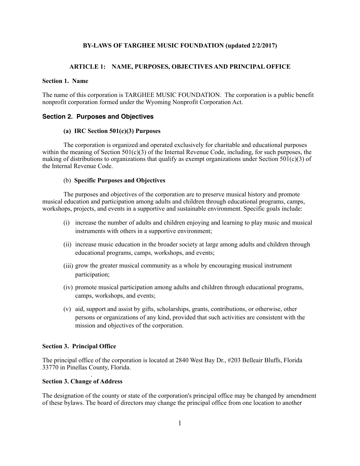## **BY-LAWS OF TARGHEE MUSIC FOUNDATION (updated 2/2/2017)**

## **ARTICLE 1: NAME, PURPOSES, OBJECTIVES AND PRINCIPAL OFFICE**

## **Section 1. Name**

The name of this corporation is TARGHEE MUSIC FOUNDATION. The corporation is a public benefit nonprofit corporation formed under the Wyoming Nonprofit Corporation Act.

## **Section 2. Purposes and Objectives**

### **(a) IRC Section 501(c)(3) Purposes**

 The corporation is organized and operated exclusively for charitable and educational purposes within the meaning of Section  $501(c)(3)$  of the Internal Revenue Code, including, for such purposes, the making of distributions to organizations that qualify as exempt organizations under Section 501(c)(3) of the Internal Revenue Code.

#### (b) **Specific Purposes and Objectives**

 The purposes and objectives of the corporation are to preserve musical history and promote musical education and participation among adults and children through educational programs, camps, workshops, projects, and events in a supportive and sustainable environment. Specific goals include:

- (i) increase the number of adults and children enjoying and learning to play music and musical instruments with others in a supportive environment;
- (ii) increase music education in the broader society at large among adults and children through educational programs, camps, workshops, and events;
- (iii) grow the greater musical community as a whole by encouraging musical instrument participation;
- (iv) promote musical participation among adults and children through educational programs, camps, workshops, and events;
- (v) aid, support and assist by gifts, scholarships, grants, contributions, or otherwise, other persons or organizations of any kind, provided that such activities are consistent with the mission and objectives of the corporation.

## **Section 3. Principal Office**

The principal office of the corporation is located at 2840 West Bay Dr., #203 Belleair Bluffs, Florida 33770 in Pinellas County, Florida.

#### **Section 3. Change of Address**

.

The designation of the county or state of the corporation's principal office may be changed by amendment of these bylaws. The board of directors may change the principal office from one location to another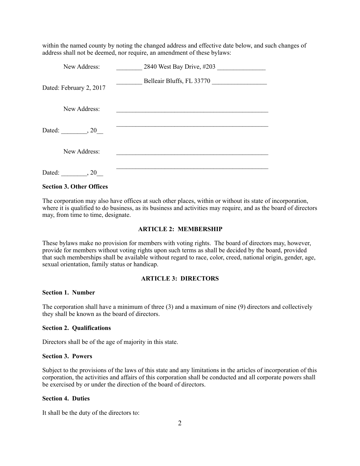within the named county by noting the changed address and effective date below, and such changes of address shall not be deemed, nor require, an amendment of these bylaws:

| New Address:            | 2840 West Bay Drive, #203 |
|-------------------------|---------------------------|
| Dated: February 2, 2017 | Belleair Bluffs, FL 33770 |
| New Address:            |                           |
| Dated: , 20             |                           |
| New Address:            |                           |
| Dated:<br>, 20          |                           |

## **Section 3. Other Offices**

The corporation may also have offices at such other places, within or without its state of incorporation, where it is qualified to do business, as its business and activities may require, and as the board of directors may, from time to time, designate.

## **ARTICLE 2: MEMBERSHIP**

These bylaws make no provision for members with voting rights. The board of directors may, however, provide for members without voting rights upon such terms as shall be decided by the board, provided that such memberships shall be available without regard to race, color, creed, national origin, gender, age, sexual orientation, family status or handicap.

# **ARTICLE 3: DIRECTORS**

## **Section 1. Number**

The corporation shall have a minimum of three (3) and a maximum of nine (9) directors and collectively they shall be known as the board of directors.

## **Section 2. Qualifications**

Directors shall be of the age of majority in this state.

## **Section 3. Powers**

Subject to the provisions of the laws of this state and any limitations in the articles of incorporation of this corporation, the activities and affairs of this corporation shall be conducted and all corporate powers shall be exercised by or under the direction of the board of directors.

# **Section 4. Duties**

It shall be the duty of the directors to: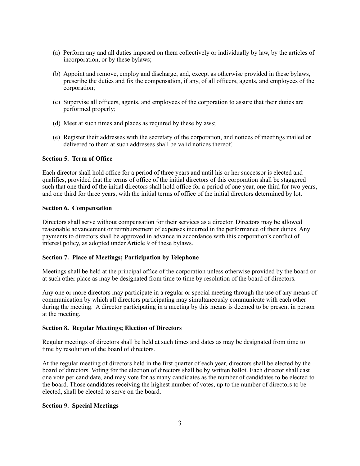- (a) Perform any and all duties imposed on them collectively or individually by law, by the articles of incorporation, or by these bylaws;
- (b) Appoint and remove, employ and discharge, and, except as otherwise provided in these bylaws, prescribe the duties and fix the compensation, if any, of all officers, agents, and employees of the corporation;
- (c) Supervise all officers, agents, and employees of the corporation to assure that their duties are performed properly;
- (d) Meet at such times and places as required by these bylaws;
- (e) Register their addresses with the secretary of the corporation, and notices of meetings mailed or delivered to them at such addresses shall be valid notices thereof.

## **Section 5. Term of Office**

Each director shall hold office for a period of three years and until his or her successor is elected and qualifies, provided that the terms of office of the initial directors of this corporation shall be staggered such that one third of the initial directors shall hold office for a period of one year, one third for two years, and one third for three years, with the initial terms of office of the initial directors determined by lot.

#### **Section 6. Compensation**

Directors shall serve without compensation for their services as a director. Directors may be allowed reasonable advancement or reimbursement of expenses incurred in the performance of their duties. Any payments to directors shall be approved in advance in accordance with this corporation's conflict of interest policy, as adopted under Article 9 of these bylaws.

## **Section 7. Place of Meetings; Participation by Telephone**

Meetings shall be held at the principal office of the corporation unless otherwise provided by the board or at such other place as may be designated from time to time by resolution of the board of directors.

Any one or more directors may participate in a regular or special meeting through the use of any means of communication by which all directors participating may simultaneously communicate with each other during the meeting. A director participating in a meeting by this means is deemed to be present in person at the meeting.

#### **Section 8. Regular Meetings; Election of Directors**

Regular meetings of directors shall be held at such times and dates as may be designated from time to time by resolution of the board of directors.

At the regular meeting of directors held in the first quarter of each year, directors shall be elected by the board of directors. Voting for the election of directors shall be by written ballot. Each director shall cast one vote per candidate, and may vote for as many candidates as the number of candidates to be elected to the board. Those candidates receiving the highest number of votes, up to the number of directors to be elected, shall be elected to serve on the board.

## **Section 9. Special Meetings**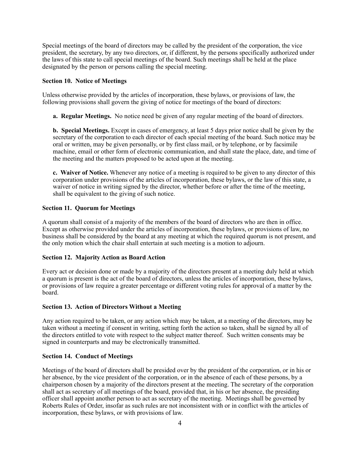Special meetings of the board of directors may be called by the president of the corporation, the vice president, the secretary, by any two directors, or, if different, by the persons specifically authorized under the laws of this state to call special meetings of the board. Such meetings shall be held at the place designated by the person or persons calling the special meeting.

## **Section 10. Notice of Meetings**

Unless otherwise provided by the articles of incorporation, these bylaws, or provisions of law, the following provisions shall govern the giving of notice for meetings of the board of directors:

 **a. Regular Meetings.** No notice need be given of any regular meeting of the board of directors.

 **b. Special Meetings.** Except in cases of emergency, at least 5 days prior notice shall be given by the secretary of the corporation to each director of each special meeting of the board. Such notice may be oral or written, may be given personally, or by first class mail, or by telephone, or by facsimile machine, email or other form of electronic communication, and shall state the place, date, and time of the meeting and the matters proposed to be acted upon at the meeting.

 **c. Waiver of Notice.** Whenever any notice of a meeting is required to be given to any director of this corporation under provisions of the articles of incorporation, these bylaws, or the law of this state, a waiver of notice in writing signed by the director, whether before or after the time of the meeting, shall be equivalent to the giving of such notice.

#### **Section 11. Quorum for Meetings**

A quorum shall consist of a majority of the members of the board of directors who are then in office. Except as otherwise provided under the articles of incorporation, these bylaws, or provisions of law, no business shall be considered by the board at any meeting at which the required quorum is not present, and the only motion which the chair shall entertain at such meeting is a motion to adjourn.

#### **Section 12. Majority Action as Board Action**

Every act or decision done or made by a majority of the directors present at a meeting duly held at which a quorum is present is the act of the board of directors, unless the articles of incorporation, these bylaws, or provisions of law require a greater percentage or different voting rules for approval of a matter by the board.

#### **Section 13. Action of Directors Without a Meeting**

Any action required to be taken, or any action which may be taken, at a meeting of the directors, may be taken without a meeting if consent in writing, setting forth the action so taken, shall be signed by all of the directors entitled to vote with respect to the subject matter thereof. Such written consents may be signed in counterparts and may be electronically transmitted.

#### **Section 14. Conduct of Meetings**

Meetings of the board of directors shall be presided over by the president of the corporation, or in his or her absence, by the vice president of the corporation, or in the absence of each of these persons, by a chairperson chosen by a majority of the directors present at the meeting. The secretary of the corporation shall act as secretary of all meetings of the board, provided that, in his or her absence, the presiding officer shall appoint another person to act as secretary of the meeting. Meetings shall be governed by Roberts Rules of Order, insofar as such rules are not inconsistent with or in conflict with the articles of incorporation, these bylaws, or with provisions of law.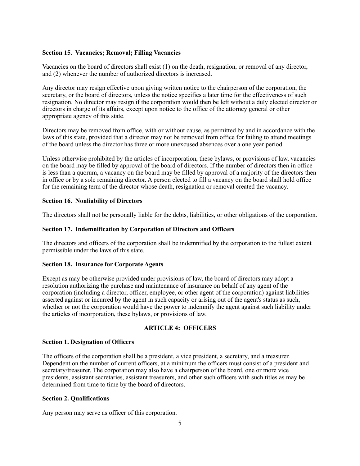## **Section 15. Vacancies; Removal; Filling Vacancies**

Vacancies on the board of directors shall exist (1) on the death, resignation, or removal of any director, and (2) whenever the number of authorized directors is increased.

Any director may resign effective upon giving written notice to the chairperson of the corporation, the secretary, or the board of directors, unless the notice specifies a later time for the effectiveness of such resignation. No director may resign if the corporation would then be left without a duly elected director or directors in charge of its affairs, except upon notice to the office of the attorney general or other appropriate agency of this state.

Directors may be removed from office, with or without cause, as permitted by and in accordance with the laws of this state, provided that a director may not be removed from office for failing to attend meetings of the board unless the director has three or more unexcused absences over a one year period.

Unless otherwise prohibited by the articles of incorporation, these bylaws, or provisions of law, vacancies on the board may be filled by approval of the board of directors. If the number of directors then in office is less than a quorum, a vacancy on the board may be filled by approval of a majority of the directors then in office or by a sole remaining director. A person elected to fill a vacancy on the board shall hold office for the remaining term of the director whose death, resignation or removal created the vacancy.

## **Section 16. Nonliability of Directors**

The directors shall not be personally liable for the debts, liabilities, or other obligations of the corporation.

## **Section 17. Indemnification by Corporation of Directors and Officers**

The directors and officers of the corporation shall be indemnified by the corporation to the fullest extent permissible under the laws of this state.

## **Section 18. Insurance for Corporate Agents**

Except as may be otherwise provided under provisions of law, the board of directors may adopt a resolution authorizing the purchase and maintenance of insurance on behalf of any agent of the corporation (including a director, officer, employee, or other agent of the corporation) against liabilities asserted against or incurred by the agent in such capacity or arising out of the agent's status as such, whether or not the corporation would have the power to indemnify the agent against such liability under the articles of incorporation, these bylaws, or provisions of law.

# **ARTICLE 4: OFFICERS**

## **Section 1. Designation of Officers**

The officers of the corporation shall be a president, a vice president, a secretary, and a treasurer. Dependent on the number of current officers, at a minimum the officers must consist of a president and secretary/treasurer. The corporation may also have a chairperson of the board, one or more vice presidents, assistant secretaries, assistant treasurers, and other such officers with such titles as may be determined from time to time by the board of directors.

# **Section 2. Qualifications**

Any person may serve as officer of this corporation.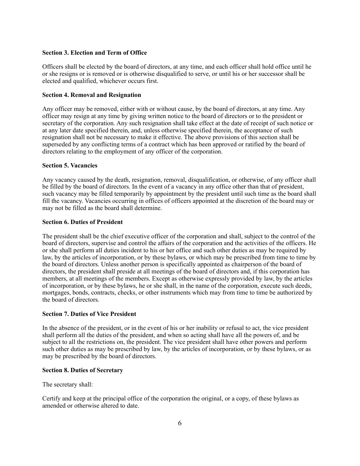### **Section 3. Election and Term of Office**

Officers shall be elected by the board of directors, at any time, and each officer shall hold office until he or she resigns or is removed or is otherwise disqualified to serve, or until his or her successor shall be elected and qualified, whichever occurs first.

#### **Section 4. Removal and Resignation**

Any officer may be removed, either with or without cause, by the board of directors, at any time. Any officer may resign at any time by giving written notice to the board of directors or to the president or secretary of the corporation. Any such resignation shall take effect at the date of receipt of such notice or at any later date specified therein, and, unless otherwise specified therein, the acceptance of such resignation shall not be necessary to make it effective. The above provisions of this section shall be superseded by any conflicting terms of a contract which has been approved or ratified by the board of directors relating to the employment of any officer of the corporation.

## **Section 5. Vacancies**

Any vacancy caused by the death, resignation, removal, disqualification, or otherwise, of any officer shall be filled by the board of directors. In the event of a vacancy in any office other than that of president, such vacancy may be filled temporarily by appointment by the president until such time as the board shall fill the vacancy. Vacancies occurring in offices of officers appointed at the discretion of the board may or may not be filled as the board shall determine.

#### **Section 6. Duties of President**

The president shall be the chief executive officer of the corporation and shall, subject to the control of the board of directors, supervise and control the affairs of the corporation and the activities of the officers. He or she shall perform all duties incident to his or her office and such other duties as may be required by law, by the articles of incorporation, or by these bylaws, or which may be prescribed from time to time by the board of directors. Unless another person is specifically appointed as chairperson of the board of directors, the president shall preside at all meetings of the board of directors and, if this corporation has members, at all meetings of the members. Except as otherwise expressly provided by law, by the articles of incorporation, or by these bylaws, he or she shall, in the name of the corporation, execute such deeds, mortgages, bonds, contracts, checks, or other instruments which may from time to time be authorized by the board of directors.

## **Section 7. Duties of Vice President**

In the absence of the president, or in the event of his or her inability or refusal to act, the vice president shall perform all the duties of the president, and when so acting shall have all the powers of, and be subject to all the restrictions on, the president. The vice president shall have other powers and perform such other duties as may be prescribed by law, by the articles of incorporation, or by these bylaws, or as may be prescribed by the board of directors.

## **Section 8. Duties of Secretary**

The secretary shall:

Certify and keep at the principal office of the corporation the original, or a copy, of these bylaws as amended or otherwise altered to date.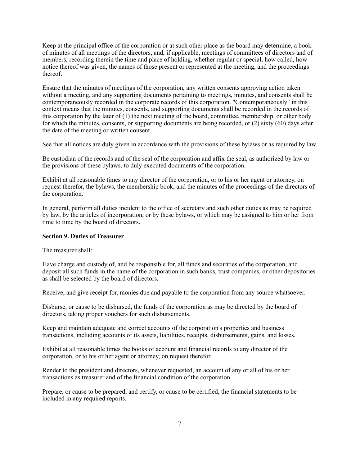Keep at the principal office of the corporation or at such other place as the board may determine, a book of minutes of all meetings of the directors, and, if applicable, meetings of committees of directors and of members, recording therein the time and place of holding, whether regular or special, how called, how notice thereof was given, the names of those present or represented at the meeting, and the proceedings thereof.

Ensure that the minutes of meetings of the corporation, any written consents approving action taken without a meeting, and any supporting documents pertaining to meetings, minutes, and consents shall be contemporaneously recorded in the corporate records of this corporation. "Contemporaneously" in this context means that the minutes, consents, and supporting documents shall be recorded in the records of this corporation by the later of  $(1)$  the next meeting of the board, committee, membership, or other body for which the minutes, consents, or supporting documents are being recorded, or (2) sixty (60) days after the date of the meeting or written consent.

See that all notices are duly given in accordance with the provisions of these bylaws or as required by law.

Be custodian of the records and of the seal of the corporation and affix the seal, as authorized by law or the provisions of these bylaws, to duly executed documents of the corporation.

Exhibit at all reasonable times to any director of the corporation, or to his or her agent or attorney, on request therefor, the bylaws, the membership book, and the minutes of the proceedings of the directors of the corporation.

In general, perform all duties incident to the office of secretary and such other duties as may be required by law, by the articles of incorporation, or by these bylaws, or which may be assigned to him or her from time to time by the board of directors.

## **Section 9. Duties of Treasurer**

The treasurer shall:

Have charge and custody of, and be responsible for, all funds and securities of the corporation, and deposit all such funds in the name of the corporation in such banks, trust companies, or other depositories as shall be selected by the board of directors.

Receive, and give receipt for, monies due and payable to the corporation from any source whatsoever.

Disburse, or cause to be disbursed, the funds of the corporation as may be directed by the board of directors, taking proper vouchers for such disbursements.

Keep and maintain adequate and correct accounts of the corporation's properties and business transactions, including accounts of its assets, liabilities, receipts, disbursements, gains, and losses.

Exhibit at all reasonable times the books of account and financial records to any director of the corporation, or to his or her agent or attorney, on request therefor.

Render to the president and directors, whenever requested, an account of any or all of his or her transactions as treasurer and of the financial condition of the corporation.

Prepare, or cause to be prepared, and certify, or cause to be certified, the financial statements to be included in any required reports.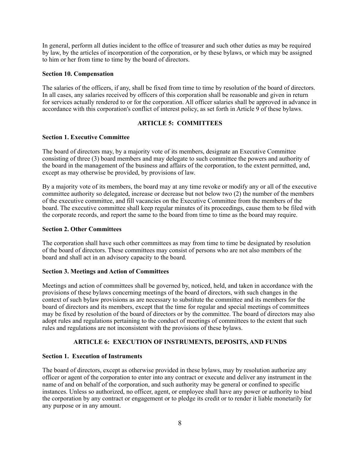In general, perform all duties incident to the office of treasurer and such other duties as may be required by law, by the articles of incorporation of the corporation, or by these bylaws, or which may be assigned to him or her from time to time by the board of directors.

#### **Section 10. Compensation**

The salaries of the officers, if any, shall be fixed from time to time by resolution of the board of directors. In all cases, any salaries received by officers of this corporation shall be reasonable and given in return for services actually rendered to or for the corporation. All officer salaries shall be approved in advance in accordance with this corporation's conflict of interest policy, as set forth in Article 9 of these bylaws.

## **ARTICLE 5: COMMITTEES**

#### **Section 1. Executive Committee**

The board of directors may, by a majority vote of its members, designate an Executive Committee consisting of three (3) board members and may delegate to such committee the powers and authority of the board in the management of the business and affairs of the corporation, to the extent permitted, and, except as may otherwise be provided, by provisions of law.

By a majority vote of its members, the board may at any time revoke or modify any or all of the executive committee authority so delegated, increase or decrease but not below two (2) the number of the members of the executive committee, and fill vacancies on the Executive Committee from the members of the board. The executive committee shall keep regular minutes of its proceedings, cause them to be filed with the corporate records, and report the same to the board from time to time as the board may require.

#### **Section 2. Other Committees**

The corporation shall have such other committees as may from time to time be designated by resolution of the board of directors. These committees may consist of persons who are not also members of the board and shall act in an advisory capacity to the board.

# **Section 3. Meetings and Action of Committees**

Meetings and action of committees shall be governed by, noticed, held, and taken in accordance with the provisions of these bylaws concerning meetings of the board of directors, with such changes in the context of such bylaw provisions as are necessary to substitute the committee and its members for the board of directors and its members, except that the time for regular and special meetings of committees may be fixed by resolution of the board of directors or by the committee. The board of directors may also adopt rules and regulations pertaining to the conduct of meetings of committees to the extent that such rules and regulations are not inconsistent with the provisions of these bylaws.

## **ARTICLE 6: EXECUTION OF INSTRUMENTS, DEPOSITS, AND FUNDS**

## **Section 1. Execution of Instruments**

The board of directors, except as otherwise provided in these bylaws, may by resolution authorize any officer or agent of the corporation to enter into any contract or execute and deliver any instrument in the name of and on behalf of the corporation, and such authority may be general or confined to specific instances. Unless so authorized, no officer, agent, or employee shall have any power or authority to bind the corporation by any contract or engagement or to pledge its credit or to render it liable monetarily for any purpose or in any amount.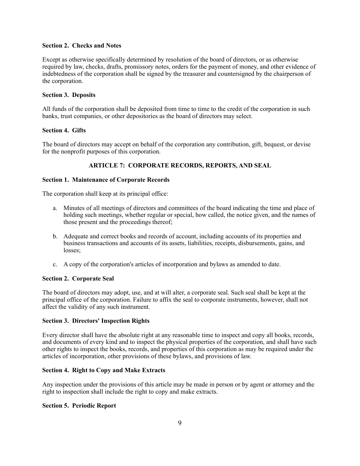## **Section 2. Checks and Notes**

Except as otherwise specifically determined by resolution of the board of directors, or as otherwise required by law, checks, drafts, promissory notes, orders for the payment of money, and other evidence of indebtedness of the corporation shall be signed by the treasurer and countersigned by the chairperson of the corporation.

## **Section 3. Deposits**

All funds of the corporation shall be deposited from time to time to the credit of the corporation in such banks, trust companies, or other depositories as the board of directors may select.

## **Section 4. Gifts**

The board of directors may accept on behalf of the corporation any contribution, gift, bequest, or devise for the nonprofit purposes of this corporation.

# **ARTICLE 7: CORPORATE RECORDS, REPORTS, AND SEAL**

## **Section 1. Maintenance of Corporate Records**

The corporation shall keep at its principal office:

- a. Minutes of all meetings of directors and committees of the board indicating the time and place of holding such meetings, whether regular or special, how called, the notice given, and the names of those present and the proceedings thereof;
- b. Adequate and correct books and records of account, including accounts of its properties and business transactions and accounts of its assets, liabilities, receipts, disbursements, gains, and losses;
- c. A copy of the corporation's articles of incorporation and bylaws as amended to date.

## **Section 2. Corporate Seal**

The board of directors may adopt, use, and at will alter, a corporate seal. Such seal shall be kept at the principal office of the corporation. Failure to affix the seal to corporate instruments, however, shall not affect the validity of any such instrument.

# **Section 3. Directors' Inspection Rights**

Every director shall have the absolute right at any reasonable time to inspect and copy all books, records, and documents of every kind and to inspect the physical properties of the corporation, and shall have such other rights to inspect the books, records, and properties of this corporation as may be required under the articles of incorporation, other provisions of these bylaws, and provisions of law.

## **Section 4. Right to Copy and Make Extracts**

Any inspection under the provisions of this article may be made in person or by agent or attorney and the right to inspection shall include the right to copy and make extracts.

## **Section 5. Periodic Report**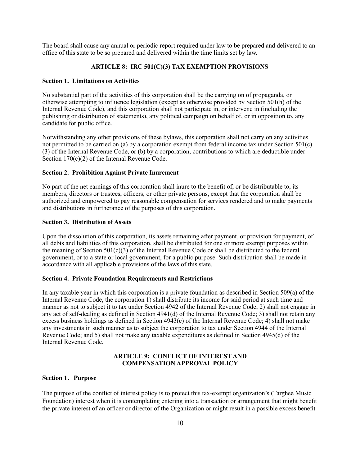The board shall cause any annual or periodic report required under law to be prepared and delivered to an office of this state to be so prepared and delivered within the time limits set by law.

## **ARTICLE 8: IRC 501(C)(3) TAX EXEMPTION PROVISIONS**

#### **Section 1. Limitations on Activities**

No substantial part of the activities of this corporation shall be the carrying on of propaganda, or otherwise attempting to influence legislation (except as otherwise provided by Section 501(h) of the Internal Revenue Code), and this corporation shall not participate in, or intervene in (including the publishing or distribution of statements), any political campaign on behalf of, or in opposition to, any candidate for public office.

Notwithstanding any other provisions of these bylaws, this corporation shall not carry on any activities not permitted to be carried on (a) by a corporation exempt from federal income tax under Section 501(c) (3) of the Internal Revenue Code, or (b) by a corporation, contributions to which are deductible under Section 170(c)(2) of the Internal Revenue Code.

#### **Section 2. Prohibition Against Private Inurement**

No part of the net earnings of this corporation shall inure to the benefit of, or be distributable to, its members, directors or trustees, officers, or other private persons, except that the corporation shall be authorized and empowered to pay reasonable compensation for services rendered and to make payments and distributions in furtherance of the purposes of this corporation.

#### **Section 3. Distribution of Assets**

Upon the dissolution of this corporation, its assets remaining after payment, or provision for payment, of all debts and liabilities of this corporation, shall be distributed for one or more exempt purposes within the meaning of Section  $501(c)(3)$  of the Internal Revenue Code or shall be distributed to the federal government, or to a state or local government, for a public purpose. Such distribution shall be made in accordance with all applicable provisions of the laws of this state.

## **Section 4. Private Foundation Requirements and Restrictions**

In any taxable year in which this corporation is a private foundation as described in Section 509(a) of the Internal Revenue Code, the corporation 1) shall distribute its income for said period at such time and manner as not to subject it to tax under Section 4942 of the Internal Revenue Code; 2) shall not engage in any act of self-dealing as defined in Section 4941(d) of the Internal Revenue Code; 3) shall not retain any excess business holdings as defined in Section 4943(c) of the Internal Revenue Code; 4) shall not make any investments in such manner as to subject the corporation to tax under Section 4944 of the Internal Revenue Code; and 5) shall not make any taxable expenditures as defined in Section 4945(d) of the Internal Revenue Code.

## **ARTICLE 9: CONFLICT OF INTEREST AND COMPENSATION APPROVAL POLICY**

#### **Section 1. Purpose**

The purpose of the conflict of interest policy is to protect this tax-exempt organization's (Targhee Music Foundation) interest when it is contemplating entering into a transaction or arrangement that might benefit the private interest of an officer or director of the Organization or might result in a possible excess benefit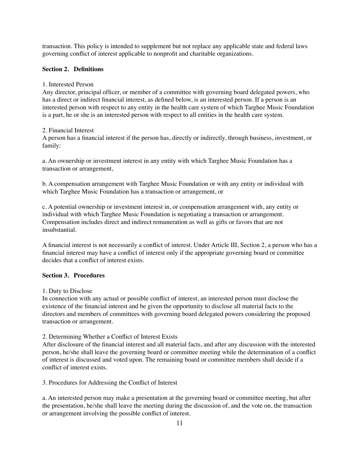transaction. This policy is intended to supplement but not replace any applicable state and federal laws governing conflict of interest applicable to nonprofit and charitable organizations.

## **Section 2. Definitions**

## 1. Interested Person

Any director, principal officer, or member of a committee with governing board delegated powers, who has a direct or indirect financial interest, as defined below, is an interested person. If a person is an interested person with respect to any entity in the health care system of which Targhee Music Foundation is a part, he or she is an interested person with respect to all entities in the health care system.

## 2. Financial Interest

A person has a financial interest if the person has, directly or indirectly, through business, investment, or family:

a. An ownership or investment interest in any entity with which Targhee Music Foundation has a transaction or arrangement,

b. A compensation arrangement with Targhee Music Foundation or with any entity or individual with which Targhee Music Foundation has a transaction or arrangement, or

c. A potential ownership or investment interest in, or compensation arrangement with, any entity or individual with which Targhee Music Foundation is negotiating a transaction or arrangement. Compensation includes direct and indirect remuneration as well as gifts or favors that are not insubstantial.

A financial interest is not necessarily a conflict of interest. Under Article III, Section 2, a person who has a financial interest may have a conflict of interest only if the appropriate governing board or committee decides that a conflict of interest exists.

# **Section 3. Procedures**

1. Duty to Disclose

In connection with any actual or possible conflict of interest, an interested person must disclose the existence of the financial interest and be given the opportunity to disclose all material facts to the directors and members of committees with governing board delegated powers considering the proposed transaction or arrangement.

2. Determining Whether a Conflict of Interest Exists

After disclosure of the financial interest and all material facts, and after any discussion with the interested person, he/she shall leave the governing board or committee meeting while the determination of a conflict of interest is discussed and voted upon. The remaining board or committee members shall decide if a conflict of interest exists.

3. Procedures for Addressing the Conflict of Interest

a. An interested person may make a presentation at the governing board or committee meeting, but after the presentation, he/she shall leave the meeting during the discussion of, and the vote on, the transaction or arrangement involving the possible conflict of interest.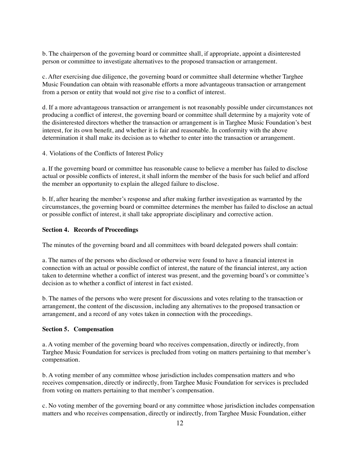b. The chairperson of the governing board or committee shall, if appropriate, appoint a disinterested person or committee to investigate alternatives to the proposed transaction or arrangement.

c. After exercising due diligence, the governing board or committee shall determine whether Targhee Music Foundation can obtain with reasonable efforts a more advantageous transaction or arrangement from a person or entity that would not give rise to a conflict of interest.

d. If a more advantageous transaction or arrangement is not reasonably possible under circumstances not producing a conflict of interest, the governing board or committee shall determine by a majority vote of the disinterested directors whether the transaction or arrangement is in Targhee Music Foundation's best interest, for its own benefit, and whether it is fair and reasonable. In conformity with the above determination it shall make its decision as to whether to enter into the transaction or arrangement.

4. Violations of the Conflicts of Interest Policy

a. If the governing board or committee has reasonable cause to believe a member has failed to disclose actual or possible conflicts of interest, it shall inform the member of the basis for such belief and afford the member an opportunity to explain the alleged failure to disclose.

b. If, after hearing the member's response and after making further investigation as warranted by the circumstances, the governing board or committee determines the member has failed to disclose an actual or possible conflict of interest, it shall take appropriate disciplinary and corrective action.

#### **Section 4. Records of Proceedings**

The minutes of the governing board and all committees with board delegated powers shall contain:

a. The names of the persons who disclosed or otherwise were found to have a financial interest in connection with an actual or possible conflict of interest, the nature of the financial interest, any action taken to determine whether a conflict of interest was present, and the governing board's or committee's decision as to whether a conflict of interest in fact existed.

b. The names of the persons who were present for discussions and votes relating to the transaction or arrangement, the content of the discussion, including any alternatives to the proposed transaction or arrangement, and a record of any votes taken in connection with the proceedings.

#### **Section 5. Compensation**

a. A voting member of the governing board who receives compensation, directly or indirectly, from Targhee Music Foundation for services is precluded from voting on matters pertaining to that member's compensation.

b. A voting member of any committee whose jurisdiction includes compensation matters and who receives compensation, directly or indirectly, from Targhee Music Foundation for services is precluded from voting on matters pertaining to that member's compensation.

c. No voting member of the governing board or any committee whose jurisdiction includes compensation matters and who receives compensation, directly or indirectly, from Targhee Music Foundation, either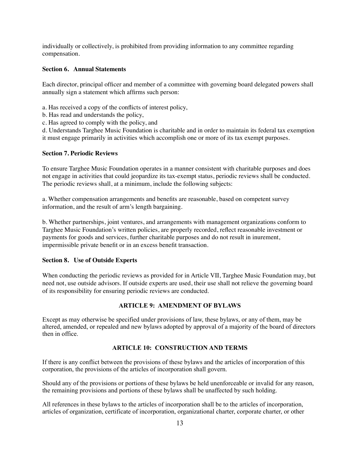individually or collectively, is prohibited from providing information to any committee regarding compensation.

## **Section 6. Annual Statements**

Each director, principal officer and member of a committee with governing board delegated powers shall annually sign a statement which affirms such person:

- a. Has received a copy of the conflicts of interest policy,
- b. Has read and understands the policy,
- c. Has agreed to comply with the policy, and

d. Understands Targhee Music Foundation is charitable and in order to maintain its federal tax exemption it must engage primarily in activities which accomplish one or more of its tax exempt purposes.

## **Section 7. Periodic Reviews**

To ensure Targhee Music Foundation operates in a manner consistent with charitable purposes and does not engage in activities that could jeopardize its tax-exempt status, periodic reviews shall be conducted. The periodic reviews shall, at a minimum, include the following subjects:

a. Whether compensation arrangements and benefits are reasonable, based on competent survey information, and the result of arm's length bargaining.

b. Whether partnerships, joint ventures, and arrangements with management organizations conform to Targhee Music Foundation's written policies, are properly recorded, reflect reasonable investment or payments for goods and services, further charitable purposes and do not result in inurement, impermissible private benefit or in an excess benefit transaction.

#### **Section 8. Use of Outside Experts**

When conducting the periodic reviews as provided for in Article VII, Targhee Music Foundation may, but need not, use outside advisors. If outside experts are used, their use shall not relieve the governing board of its responsibility for ensuring periodic reviews are conducted.

## **ARTICLE 9: AMENDMENT OF BYLAWS**

Except as may otherwise be specified under provisions of law, these bylaws, or any of them, may be altered, amended, or repealed and new bylaws adopted by approval of a majority of the board of directors then in office.

## **ARTICLE 10: CONSTRUCTION AND TERMS**

If there is any conflict between the provisions of these bylaws and the articles of incorporation of this corporation, the provisions of the articles of incorporation shall govern.

Should any of the provisions or portions of these bylaws be held unenforceable or invalid for any reason, the remaining provisions and portions of these bylaws shall be unaffected by such holding.

All references in these bylaws to the articles of incorporation shall be to the articles of incorporation, articles of organization, certificate of incorporation, organizational charter, corporate charter, or other